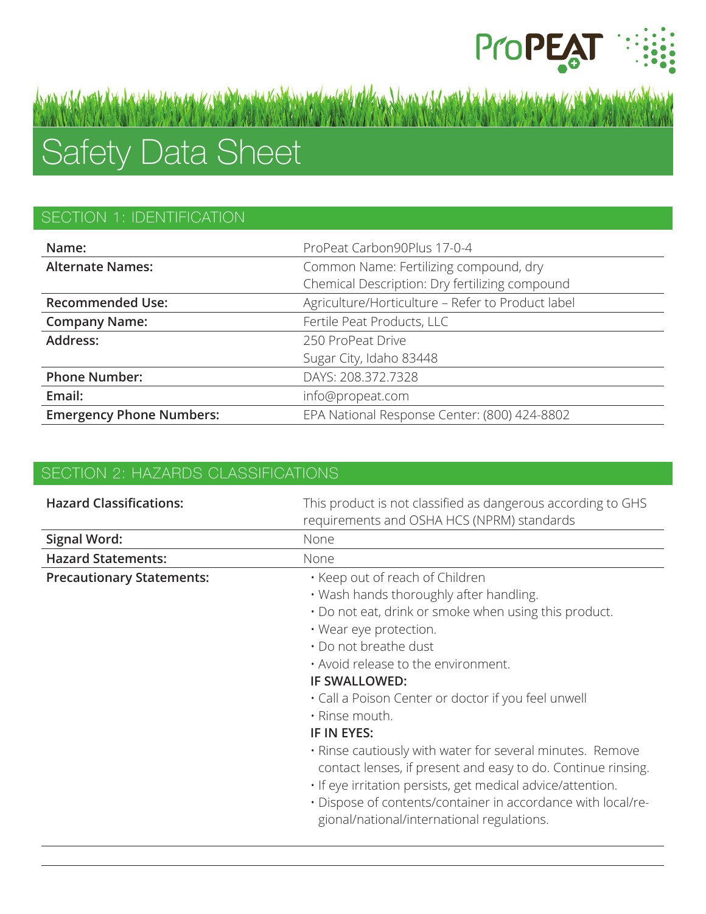

# Safety Data Sheet

## SECTION 1: IDENTIFICATION

| Name:                           | ProPeat Carbon90Plus 17-0-4                       |
|---------------------------------|---------------------------------------------------|
| <b>Alternate Names:</b>         | Common Name: Fertilizing compound, dry            |
|                                 | Chemical Description: Dry fertilizing compound    |
| <b>Recommended Use:</b>         | Agriculture/Horticulture - Refer to Product label |
| <b>Company Name:</b>            | Fertile Peat Products, LLC                        |
| Address:                        | 250 ProPeat Drive                                 |
|                                 | Sugar City, Idaho 83448                           |
| <b>Phone Number:</b>            | DAYS: 208.372.7328                                |
| Email:                          | info@propeat.com                                  |
| <b>Emergency Phone Numbers:</b> | EPA National Response Center: (800) 424-8802      |

## SECTION 2: HAZARDS CLASSIFICATIONS

| <b>Hazard Classifications:</b>   | This product is not classified as dangerous according to GHS<br>requirements and OSHA HCS (NPRM) standards                                                                                                                                                                                                                                                                                                                                                                                                                                                                                                                                              |
|----------------------------------|---------------------------------------------------------------------------------------------------------------------------------------------------------------------------------------------------------------------------------------------------------------------------------------------------------------------------------------------------------------------------------------------------------------------------------------------------------------------------------------------------------------------------------------------------------------------------------------------------------------------------------------------------------|
| <b>Signal Word:</b>              | None                                                                                                                                                                                                                                                                                                                                                                                                                                                                                                                                                                                                                                                    |
| <b>Hazard Statements:</b>        | None                                                                                                                                                                                                                                                                                                                                                                                                                                                                                                                                                                                                                                                    |
| <b>Precautionary Statements:</b> | . Keep out of reach of Children<br>. Wash hands thoroughly after handling.<br>. Do not eat, drink or smoke when using this product.<br>• Wear eye protection.<br>• Do not breathe dust<br>. Avoid release to the environment.<br><b>IF SWALLOWED:</b><br>• Call a Poison Center or doctor if you feel unwell<br>• Rinse mouth.<br>IF IN EYES:<br>. Rinse cautiously with water for several minutes. Remove<br>contact lenses, if present and easy to do. Continue rinsing.<br>. If eye irritation persists, get medical advice/attention.<br>. Dispose of contents/container in accordance with local/re-<br>gional/national/international regulations. |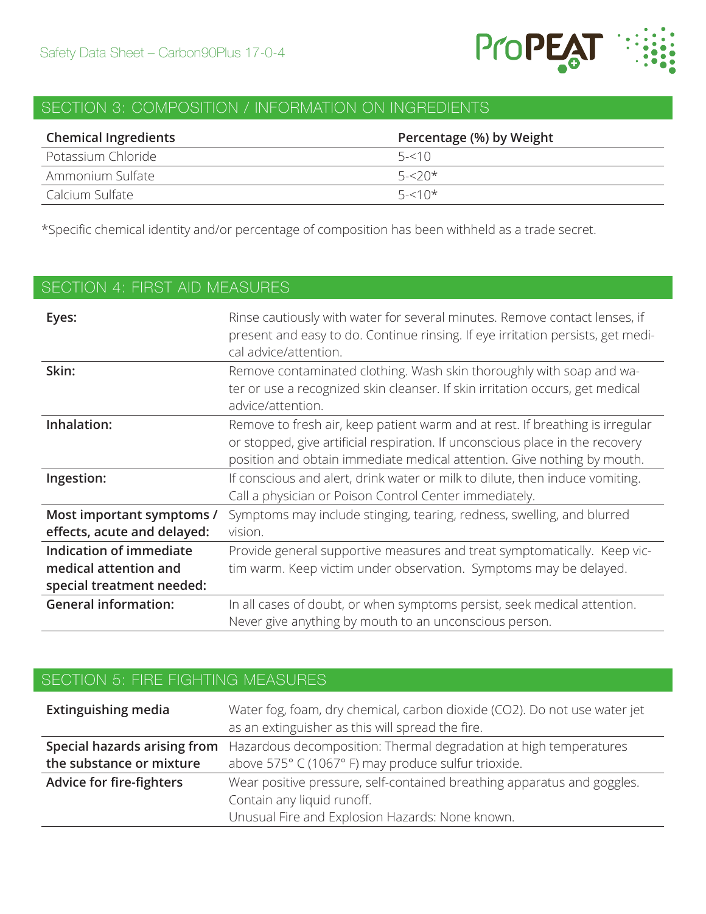

# SECTION 3: COMPOSITION / INFORMATION ON INGREDIENTS

| <b>Chemical Ingredients</b> | Percentage (%) by Weight |
|-----------------------------|--------------------------|
| Potassium Chloride          | $5 - 510$                |
| Ammonium Sulfate            | $5 - 20*$                |
| Calcium Sulfate             | $5 - 510*$               |

\*Specific chemical identity and/or percentage of composition has been withheld as a trade secret.

| <b>SECTION 4: FIRST AID MEASURES</b>                                          |                                                                                                                                                                                                                                           |  |
|-------------------------------------------------------------------------------|-------------------------------------------------------------------------------------------------------------------------------------------------------------------------------------------------------------------------------------------|--|
| Eyes:                                                                         | Rinse cautiously with water for several minutes. Remove contact lenses, if<br>present and easy to do. Continue rinsing. If eye irritation persists, get medi-<br>cal advice/attention.                                                    |  |
| Skin:                                                                         | Remove contaminated clothing. Wash skin thoroughly with soap and wa-<br>ter or use a recognized skin cleanser. If skin irritation occurs, get medical<br>advice/attention.                                                                |  |
| Inhalation:                                                                   | Remove to fresh air, keep patient warm and at rest. If breathing is irregular<br>or stopped, give artificial respiration. If unconscious place in the recovery<br>position and obtain immediate medical attention. Give nothing by mouth. |  |
| Ingestion:                                                                    | If conscious and alert, drink water or milk to dilute, then induce vomiting.<br>Call a physician or Poison Control Center immediately.                                                                                                    |  |
| Most important symptoms /<br>effects, acute and delayed:                      | Symptoms may include stinging, tearing, redness, swelling, and blurred<br>vision.                                                                                                                                                         |  |
| Indication of immediate<br>medical attention and<br>special treatment needed: | Provide general supportive measures and treat symptomatically. Keep vic-<br>tim warm. Keep victim under observation. Symptoms may be delayed.                                                                                             |  |
| <b>General information:</b>                                                   | In all cases of doubt, or when symptoms persist, seek medical attention.<br>Never give anything by mouth to an unconscious person.                                                                                                        |  |

# SECTION 5: FIRE FIGHTING MEASURES

| Extinguishing media      | Water fog, foam, dry chemical, carbon dioxide (CO2). Do not use water jet<br>as an extinguisher as this will spread the fire. |
|--------------------------|-------------------------------------------------------------------------------------------------------------------------------|
|                          | <b>Special hazards arising from</b> Hazardous decomposition: Thermal degradation at high temperatures                         |
| the substance or mixture | above 575° C (1067° F) may produce sulfur trioxide.                                                                           |
| Advice for fire-fighters | Wear positive pressure, self-contained breathing apparatus and goggles.                                                       |
|                          | Contain any liquid runoff.                                                                                                    |
|                          | Unusual Fire and Explosion Hazards: None known.                                                                               |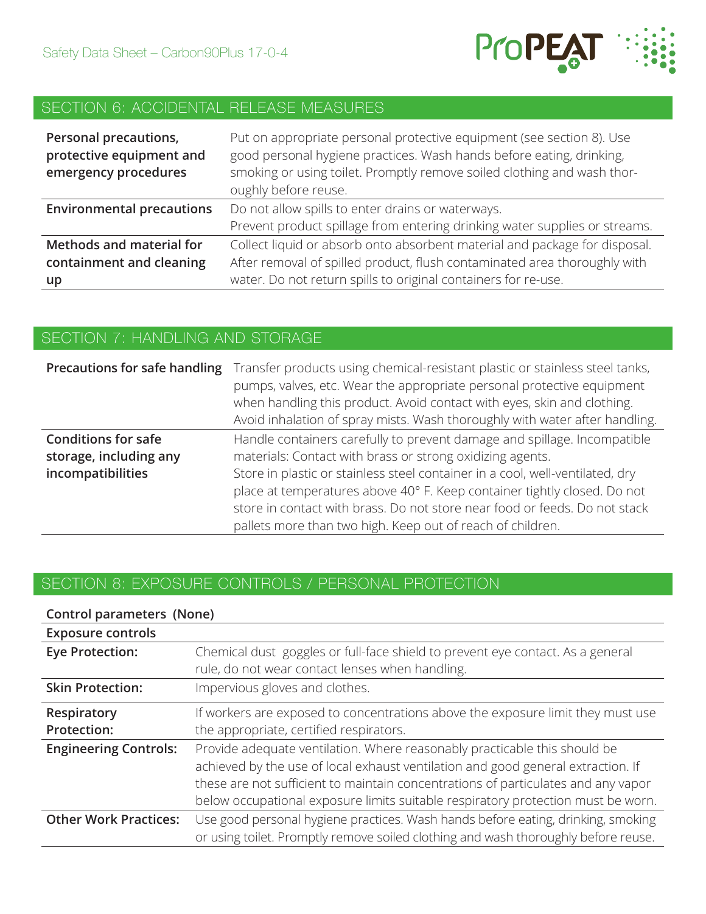

# SECTION 6: ACCIDENTAL RELEASE MEASURES

| Personal precautions,<br>protective equipment and<br>emergency procedures | Put on appropriate personal protective equipment (see section 8). Use<br>good personal hygiene practices. Wash hands before eating, drinking,<br>smoking or using toilet. Promptly remove soiled clothing and wash thor-<br>oughly before reuse. |
|---------------------------------------------------------------------------|--------------------------------------------------------------------------------------------------------------------------------------------------------------------------------------------------------------------------------------------------|
| <b>Environmental precautions</b>                                          | Do not allow spills to enter drains or waterways.                                                                                                                                                                                                |
|                                                                           | Prevent product spillage from entering drinking water supplies or streams.                                                                                                                                                                       |
| Methods and material for                                                  | Collect liquid or absorb onto absorbent material and package for disposal.                                                                                                                                                                       |
| containment and cleaning                                                  | After removal of spilled product, flush contaminated area thoroughly with                                                                                                                                                                        |
| up                                                                        | water. Do not return spills to original containers for re-use.                                                                                                                                                                                   |

#### SECTION 7: HANDLING AND STORAGE

| Precautions for safe handling                                             | Transfer products using chemical-resistant plastic or stainless steel tanks,<br>pumps, valves, etc. Wear the appropriate personal protective equipment<br>when handling this product. Avoid contact with eyes, skin and clothing.<br>Avoid inhalation of spray mists. Wash thoroughly with water after handling. |
|---------------------------------------------------------------------------|------------------------------------------------------------------------------------------------------------------------------------------------------------------------------------------------------------------------------------------------------------------------------------------------------------------|
| <b>Conditions for safe</b><br>storage, including any<br>incompatibilities | Handle containers carefully to prevent damage and spillage. Incompatible<br>materials: Contact with brass or strong oxidizing agents.<br>Store in plastic or stainless steel container in a cool, well-ventilated, dry<br>place at temperatures above 40° F. Keep container tightly closed. Do not               |
|                                                                           | store in contact with brass. Do not store near food or feeds. Do not stack<br>pallets more than two high. Keep out of reach of children.                                                                                                                                                                         |

## SECTION 8: EXPOSURE CONTROLS / PERSONAL PROTECTION

| Control parameters (None)    |                                                                                                                                                               |
|------------------------------|---------------------------------------------------------------------------------------------------------------------------------------------------------------|
| <b>Exposure controls</b>     |                                                                                                                                                               |
| <b>Eye Protection:</b>       | Chemical dust goggles or full-face shield to prevent eye contact. As a general                                                                                |
|                              | rule, do not wear contact lenses when handling.                                                                                                               |
| <b>Skin Protection:</b>      | Impervious gloves and clothes.                                                                                                                                |
| Respiratory                  | If workers are exposed to concentrations above the exposure limit they must use                                                                               |
| Protection:                  | the appropriate, certified respirators.                                                                                                                       |
| <b>Engineering Controls:</b> | Provide adequate ventilation. Where reasonably practicable this should be<br>achieved by the use of local exhaust ventilation and good general extraction. If |
|                              | these are not sufficient to maintain concentrations of particulates and any vapor                                                                             |
|                              | below occupational exposure limits suitable respiratory protection must be worn.                                                                              |
| <b>Other Work Practices:</b> | Use good personal hygiene practices. Wash hands before eating, drinking, smoking                                                                              |
|                              | or using toilet. Promptly remove soiled clothing and wash thoroughly before reuse.                                                                            |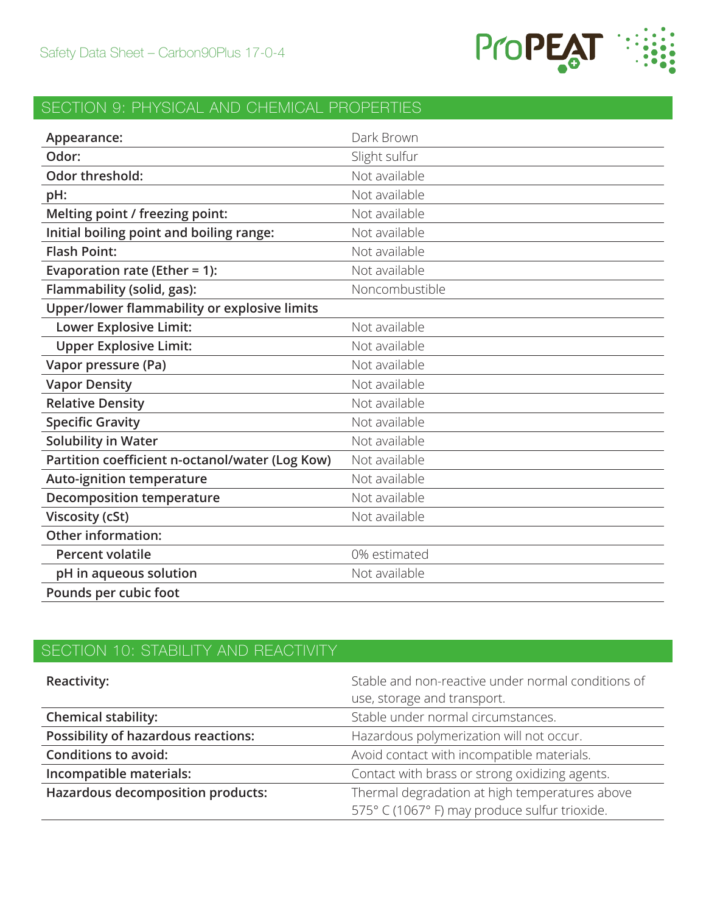

# SECTION 9: PHYSICAL AND CHEMICAL PROPERTIES

| Appearance:                                     | Dark Brown     |
|-------------------------------------------------|----------------|
| Odor:                                           | Slight sulfur  |
| Odor threshold:                                 | Not available  |
| pH:                                             | Not available  |
| Melting point / freezing point:                 | Not available  |
| Initial boiling point and boiling range:        | Not available  |
| <b>Flash Point:</b>                             | Not available  |
| Evaporation rate (Ether = 1):                   | Not available  |
| Flammability (solid, gas):                      | Noncombustible |
| Upper/lower flammability or explosive limits    |                |
| Lower Explosive Limit:                          | Not available  |
| <b>Upper Explosive Limit:</b>                   | Not available  |
| Vapor pressure (Pa)                             | Not available  |
| <b>Vapor Density</b>                            | Not available  |
| <b>Relative Density</b>                         | Not available  |
| <b>Specific Gravity</b>                         | Not available  |
| <b>Solubility in Water</b>                      | Not available  |
| Partition coefficient n-octanol/water (Log Kow) | Not available  |
| <b>Auto-ignition temperature</b>                | Not available  |
| <b>Decomposition temperature</b>                | Not available  |
| <b>Viscosity (cSt)</b>                          | Not available  |
| <b>Other information:</b>                       |                |
| <b>Percent volatile</b>                         | 0% estimated   |
| pH in aqueous solution                          | Not available  |
| Pounds per cubic foot                           |                |

# SECTION 10: STABILITY AND REACTIVITY

| <b>Reactivity:</b>                         | Stable and non-reactive under normal conditions of<br>use, storage and transport.               |
|--------------------------------------------|-------------------------------------------------------------------------------------------------|
| <b>Chemical stability:</b>                 | Stable under normal circumstances.                                                              |
| <b>Possibility of hazardous reactions:</b> | Hazardous polymerization will not occur.                                                        |
| <b>Conditions to avoid:</b>                | Avoid contact with incompatible materials.                                                      |
| Incompatible materials:                    | Contact with brass or strong oxidizing agents.                                                  |
| <b>Hazardous decomposition products:</b>   | Thermal degradation at high temperatures above<br>575° C (1067° F) may produce sulfur trioxide. |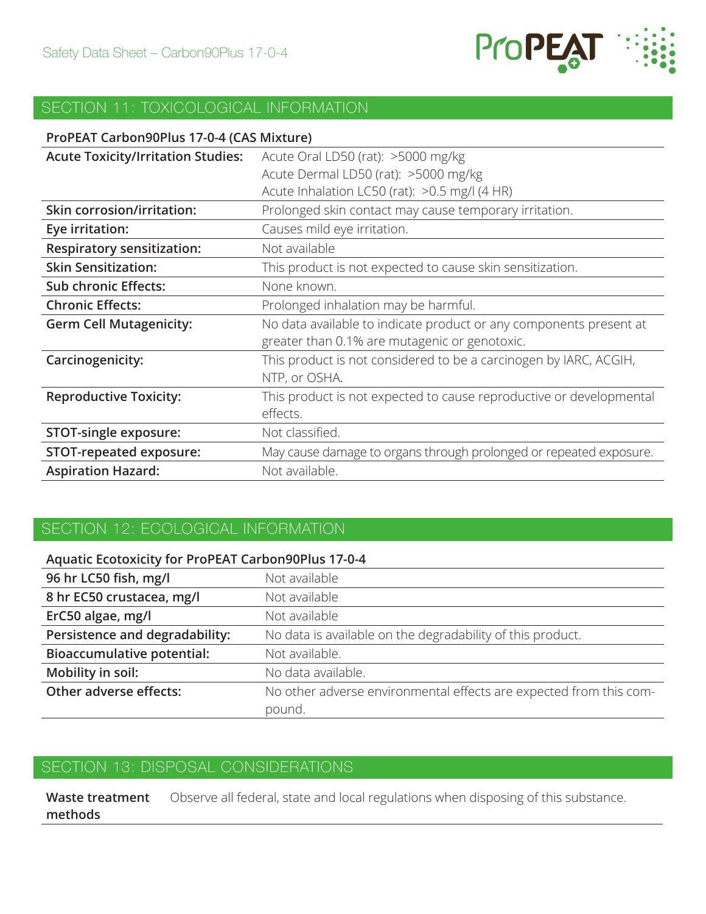

#### SECTION 11: TOXICOLOGICAL INFORMATION

#### **ProPEAT Carbon90Plus 17-0-4 (CAS Mixture)**

| <b>Acute Toxicity/Irritation Studies:</b> | Acute Oral LD50 (rat): >5000 mg/kg                                  |
|-------------------------------------------|---------------------------------------------------------------------|
|                                           | Acute Dermal LD50 (rat): >5000 mg/kg                                |
|                                           | Acute Inhalation LC50 (rat): >0.5 mg/l (4 HR)                       |
| <b>Skin corrosion/irritation:</b>         | Prolonged skin contact may cause temporary irritation.              |
| Eye irritation:                           | Causes mild eye irritation.                                         |
| <b>Respiratory sensitization:</b>         | Not available                                                       |
| <b>Skin Sensitization:</b>                | This product is not expected to cause skin sensitization.           |
| <b>Sub chronic Effects:</b>               | None known.                                                         |
| <b>Chronic Effects:</b>                   | Prolonged inhalation may be harmful.                                |
| <b>Germ Cell Mutagenicity:</b>            | No data available to indicate product or any components present at  |
|                                           | greater than 0.1% are mutagenic or genotoxic.                       |
| Carcinogenicity:                          | This product is not considered to be a carcinogen by IARC, ACGIH,   |
|                                           | NTP, or OSHA.                                                       |
| <b>Reproductive Toxicity:</b>             | This product is not expected to cause reproductive or developmental |
|                                           | effects.                                                            |
| <b>STOT-single exposure:</b>              | Not classified.                                                     |
| <b>STOT-repeated exposure:</b>            | May cause damage to organs through prolonged or repeated exposure.  |
| <b>Aspiration Hazard:</b>                 | Not available.                                                      |

### SECTION 12: ECOLOGICAL INFORMATION

| <b>Aquatic Ecotoxicity for ProPEAT Carbon90Plus 17-0-4</b> |                                                                    |
|------------------------------------------------------------|--------------------------------------------------------------------|
| 96 hr LC50 fish, mg/l                                      | Not available                                                      |
| 8 hr EC50 crustacea, mg/l                                  | Not available                                                      |
| ErC50 algae, mg/l                                          | Not available                                                      |
| Persistence and degradability:                             | No data is available on the degradability of this product.         |
| <b>Bioaccumulative potential:</b>                          | Not available.                                                     |
| Mobility in soil:                                          | No data available.                                                 |
| Other adverse effects:                                     | No other adverse environmental effects are expected from this com- |
|                                                            | pound.                                                             |

#### SECTION 13: DISPOSAL CONSIDERATIONS

**Waste treatment methods** Observe all federal, state and local regulations when disposing of this substance.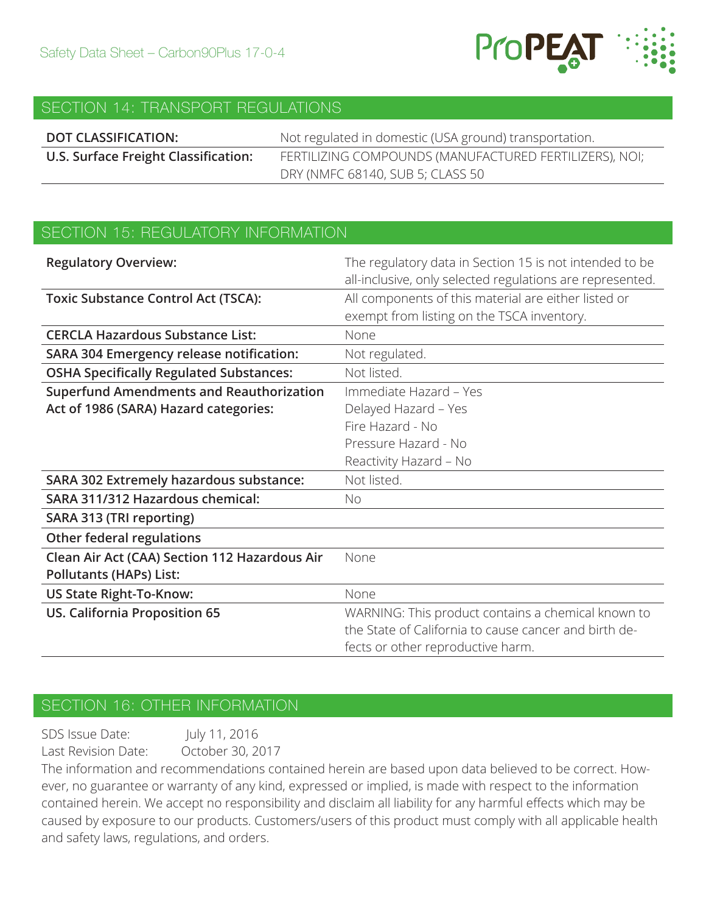

#### SECTION 14: TRANSPORT REGULATIONS

| DOT CLASSIFICATION:                  | Not regulated in domestic (USA ground) transportation. |
|--------------------------------------|--------------------------------------------------------|
| U.S. Surface Freight Classification: | FERTILIZING COMPOUNDS (MANUFACTURED FERTILIZERS), NOI; |
|                                      | DRY (NMFC 68140, SUB 5; CLASS 50                       |

#### SECTION 15: REGULATORY INFORMATION

| <b>Regulatory Overview:</b>                     | The regulatory data in Section 15 is not intended to be   |
|-------------------------------------------------|-----------------------------------------------------------|
|                                                 | all-inclusive, only selected regulations are represented. |
| <b>Toxic Substance Control Act (TSCA):</b>      | All components of this material are either listed or      |
|                                                 | exempt from listing on the TSCA inventory.                |
| <b>CERCLA Hazardous Substance List:</b>         | None                                                      |
| <b>SARA 304 Emergency release notification:</b> | Not regulated.                                            |
| <b>OSHA Specifically Regulated Substances:</b>  | Not listed.                                               |
| <b>Superfund Amendments and Reauthorization</b> | Immediate Hazard - Yes                                    |
| Act of 1986 (SARA) Hazard categories:           | Delayed Hazard - Yes                                      |
|                                                 | Fire Hazard - No                                          |
|                                                 | Pressure Hazard - No                                      |
|                                                 | Reactivity Hazard - No                                    |
| <b>SARA 302 Extremely hazardous substance:</b>  | Not listed.                                               |
| SARA 311/312 Hazardous chemical:                | <b>No</b>                                                 |
| SARA 313 (TRI reporting)                        |                                                           |
| Other federal regulations                       |                                                           |
| Clean Air Act (CAA) Section 112 Hazardous Air   | None                                                      |
| <b>Pollutants (HAPs) List:</b>                  |                                                           |
| <b>US State Right-To-Know:</b>                  | None                                                      |
| <b>US. California Proposition 65</b>            | WARNING: This product contains a chemical known to        |
|                                                 | the State of California to cause cancer and birth de-     |
|                                                 | fects or other reproductive harm.                         |

#### SECTION 16: OTHER INFORMATION

SDS Issue Date: July 11, 2016 Last Revision Date: October 30, 2017

The information and recommendations contained herein are based upon data believed to be correct. However, no guarantee or warranty of any kind, expressed or implied, is made with respect to the information contained herein. We accept no responsibility and disclaim all liability for any harmful effects which may be caused by exposure to our products. Customers/users of this product must comply with all applicable health and safety laws, regulations, and orders.